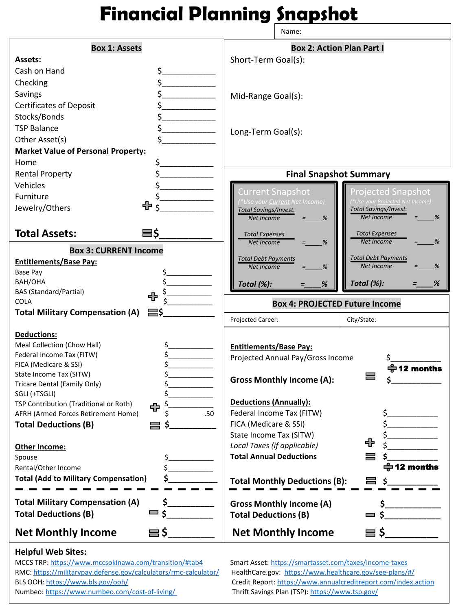## **Financial Planning Snapshot**

|                                                         | Name:                                                                                                  |  |  |  |
|---------------------------------------------------------|--------------------------------------------------------------------------------------------------------|--|--|--|
| <b>Box 1: Assets</b>                                    | <b>Box 2: Action Plan Part I</b>                                                                       |  |  |  |
| <b>Assets:</b>                                          | Short-Term Goal(s):                                                                                    |  |  |  |
| Cash on Hand<br>\$.                                     |                                                                                                        |  |  |  |
| \$<br>Checking                                          |                                                                                                        |  |  |  |
| \$.<br>Savings                                          |                                                                                                        |  |  |  |
| \$<br><b>Certificates of Deposit</b>                    | Mid-Range Goal(s):                                                                                     |  |  |  |
| \$<br>Stocks/Bonds                                      |                                                                                                        |  |  |  |
| \$<br><b>TSP Balance</b>                                |                                                                                                        |  |  |  |
| \$<br>Other Asset(s)                                    | Long-Term Goal(s):                                                                                     |  |  |  |
| <b>Market Value of Personal Property:</b>               |                                                                                                        |  |  |  |
| Home                                                    |                                                                                                        |  |  |  |
| \$.                                                     |                                                                                                        |  |  |  |
| \$<br><b>Rental Property</b>                            | <b>Final Snapshot Summary</b>                                                                          |  |  |  |
| Vehicles                                                | <b>Current Snapshot</b><br>Projected Snapshot                                                          |  |  |  |
| Furniture<br>⊕                                          | <sup>*</sup> Use your <u>Current</u> Net Income)<br><sup>*</sup> Use your <u>Projected</u> Net Income) |  |  |  |
| Jewelry/Others                                          | Total Savings/Invest.<br><b>Total Savings/Invest.</b><br><b>Net Income</b><br>Net Income<br>%<br>%     |  |  |  |
|                                                         |                                                                                                        |  |  |  |
| <b>Total Assets:</b><br>8\$                             | <b>Total Expenses</b><br><b>Total Expenses</b>                                                         |  |  |  |
| <b>Box 3: CURRENT Income</b>                            | <b>Net Income</b><br>%<br>Net Income<br>%                                                              |  |  |  |
| <b>Entitlements/Base Pay:</b>                           | <b>Total Debt Payments</b><br><b>Total Debt Payments</b>                                               |  |  |  |
| Base Pay                                                | Net Income<br>%<br>Net Income<br>%                                                                     |  |  |  |
|                                                         |                                                                                                        |  |  |  |
| BAH/OHA                                                 |                                                                                                        |  |  |  |
| <b>BAS (Standard/Partial)</b>                           | Total (%):<br>%<br>Total (%):<br>%                                                                     |  |  |  |
| ⊕<br><b>COLA</b>                                        | <b>Box 4: PROJECTED Future Income</b>                                                                  |  |  |  |
| <b>Total Military Compensation (A)</b><br>든\$           |                                                                                                        |  |  |  |
|                                                         | Projected Career:<br>City/State:                                                                       |  |  |  |
| <b>Deductions:</b>                                      |                                                                                                        |  |  |  |
| Meal Collection (Chow Hall)                             | <b>Entitlements/Base Pay:</b>                                                                          |  |  |  |
| Federal Income Tax (FITW)                               | Projected Annual Pay/Gross Income<br>\$                                                                |  |  |  |
| FICA (Medicare & SSI)                                   | 수 12 months                                                                                            |  |  |  |
| State Income Tax (SITW)<br>Tricare Dental (Family Only) | <b>Gross Monthly Income (A):</b>                                                                       |  |  |  |
| SGLI (+TSGLI)                                           |                                                                                                        |  |  |  |
| TSP Contribution (Traditional or Roth)<br>Ş             | <b>Deductions (Annually):</b>                                                                          |  |  |  |
| ⊕<br>AFRH (Armed Forces Retirement Home)<br>.50         | Federal Income Tax (FITW)<br>S                                                                         |  |  |  |
| <b>Total Deductions (B)</b>                             | FICA (Medicare & SSI)                                                                                  |  |  |  |
|                                                         | State Income Tax (SITW)                                                                                |  |  |  |
| Other Income:                                           | ⊕<br>Local Taxes (if applicable)                                                                       |  |  |  |
| Spouse<br>\$                                            | <b>Total Annual Deductions</b>                                                                         |  |  |  |
| Rental/Other Income<br>Ś                                | 수 12 months                                                                                            |  |  |  |
| <b>Total (Add to Military Compensation)</b><br>\$.      | <b>Total Monthly Deductions (B):</b><br>▄<br>Ŝ                                                         |  |  |  |
|                                                         |                                                                                                        |  |  |  |
| \$.<br><b>Total Military Compensation (A)</b>           | <b>Gross Monthly Income (A)</b>                                                                        |  |  |  |
| ی —<br><b>Total Deductions (B)</b>                      | <b>Total Deductions (B)</b><br>$\equiv$ S                                                              |  |  |  |

## **Helpful Web Sites:**

MCCS TRP:<https://www.mccsokinawa.com/transition/#tab4> Smart Asset:<https://smartasset.com/taxes/income-taxes> RMC:<https://militarypay.defense.gov/calculators/rmc-calculator/> HealthCare.gov: <https://www.healthcare.gov/see-plans/#/>

BLS OOH:<https://www.bls.gov/ooh/> Credit Report: <https://www.annualcreditreport.com/index.action> Numbeo: <https://www.numbeo.com/cost-of-living/> Thrift Savings Plan (TSP): <https://www.tsp.gov/>